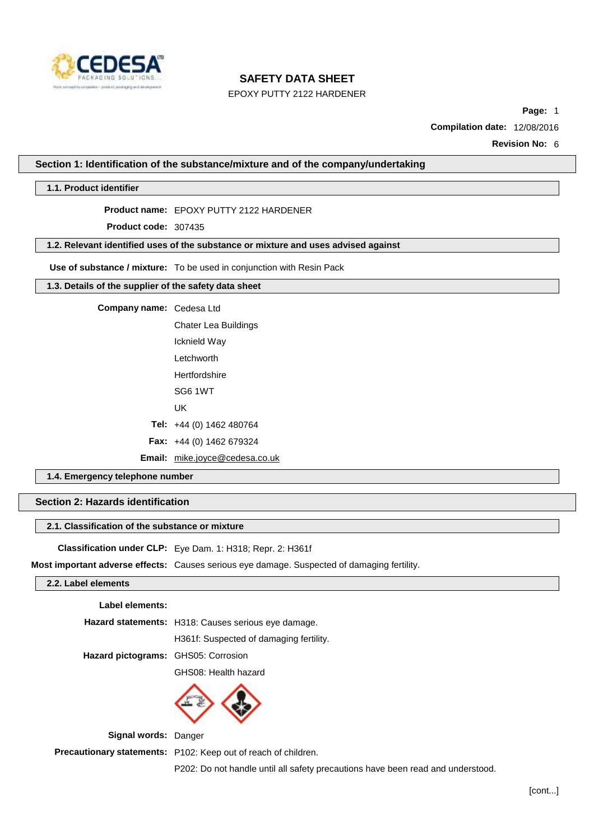

## EPOXY PUTTY 2122 HARDENER

**Page:** 1

**Compilation date:** 12/08/2016

**Revision No:** 6

#### **Section 1: Identification of the substance/mixture and of the company/undertaking**

#### **1.1. Product identifier**

#### **Product name:** EPOXY PUTTY 2122 HARDENER

**Product code:** 307435

### **1.2. Relevant identified uses of the substance or mixture and uses advised against**

**Use of substance / mixture:** To be used in conjunction with Resin Pack

## **1.3. Details of the supplier of the safety data sheet**

# **Company name:** Cedesa Ltd

Chater Lea Buildings Icknield Way **Letchworth** Hertfordshire SG6 1WT UK **Tel:** +44 (0) 1462 480764 **Fax:** +44 (0) 1462 679324 **Email:** [mike.joyce@cedesa.co.uk](mailto:mike.joyce@cedesa.co.uk)

## **1.4. Emergency telephone number**

## **Section 2: Hazards identification**

#### **2.1. Classification of the substance or mixture**

**Classification under CLP:** Eye Dam. 1: H318; Repr. 2: H361f

**Most important adverse effects:** Causes serious eye damage. Suspected of damaging fertility.

## **2.2. Label elements**

#### **Label elements:**

**Hazard statements:** H318: Causes serious eye damage. H361f: Suspected of damaging fertility.

**Hazard pictograms:** GHS05: Corrosion

GHS08: Health hazard



**Signal words:** Danger

**Precautionary statements:** P102: Keep out of reach of children.

P202: Do not handle until all safety precautions have been read and understood.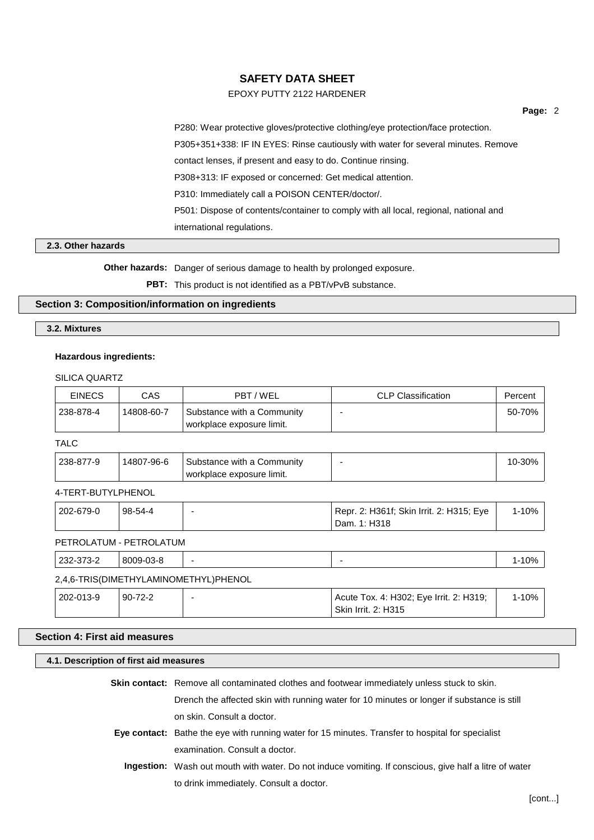## EPOXY PUTTY 2122 HARDENER

**Page:** 2

P280: Wear protective gloves/protective clothing/eye protection/face protection. P305+351+338: IF IN EYES: Rinse cautiously with water for several minutes. Remove contact lenses, if present and easy to do. Continue rinsing. P308+313: IF exposed or concerned: Get medical attention. P310: Immediately call a POISON CENTER/doctor/. P501: Dispose of contents/container to comply with all local, regional, national and international regulations.

## **2.3. Other hazards**

**Other hazards:** Danger of serious damage to health by prolonged exposure.

PBT: This product is not identified as a PBT/vPvB substance.

## **Section 3: Composition/information on ingredients**

### **3.2. Mixtures**

## **Hazardous ingredients:**

SILICA QUARTZ

| <b>EINECS</b> | CAS        | PBT / WEL                                               | <b>CLP Classification</b> | Percent |
|---------------|------------|---------------------------------------------------------|---------------------------|---------|
| 238-878-4     | 14808-60-7 | Substance with a Community<br>workplace exposure limit. |                           | 50-70%  |

## TALC

| 238-877-9 | 14807-96-6 | <b>Substance with a Community</b> | IU-3U% |
|-----------|------------|-----------------------------------|--------|
|           |            | workplace exposure limit.         |        |

## 4-TERT-BUTYLPHENOL

| 202-679-0 <sup>'</sup>  | 98-54-4 | Repr. 2: H361f; Skin Irrit. 2: H315; Eye<br>Dam. 1: H318 | 1-10% |
|-------------------------|---------|----------------------------------------------------------|-------|
| PETROLATUM - PETROLATUM |         |                                                          |       |

| 232-373-2 | 8009-03-8 | $\overline{\phantom{0}}$              |  |
|-----------|-----------|---------------------------------------|--|
|           |           | 2,4,6-TRIS(DIMETHYLAMINOMETHYL)PHENOL |  |

| 202-013-9 | $90 - 72 - 2$ | Acute Tox. 4: H302; Eye Irrit. 2: H319; |  |  |
|-----------|---------------|-----------------------------------------|--|--|
|           |               | <b>Skin Irrit. 2: H315</b>              |  |  |

## **Section 4: First aid measures**

| <b>Skin contact:</b> Remove all contaminated clothes and footwear immediately unless stuck to skin.    |
|--------------------------------------------------------------------------------------------------------|
| Drench the affected skin with running water for 10 minutes or longer if substance is still             |
| on skin. Consult a doctor.                                                                             |
| Eye contact: Bathe the eye with running water for 15 minutes. Transfer to hospital for specialist      |
| examination. Consult a doctor.                                                                         |
| Ingestion: Wash out mouth with water. Do not induce vomiting. If conscious, give half a litre of water |
| to drink immediately. Consult a doctor.                                                                |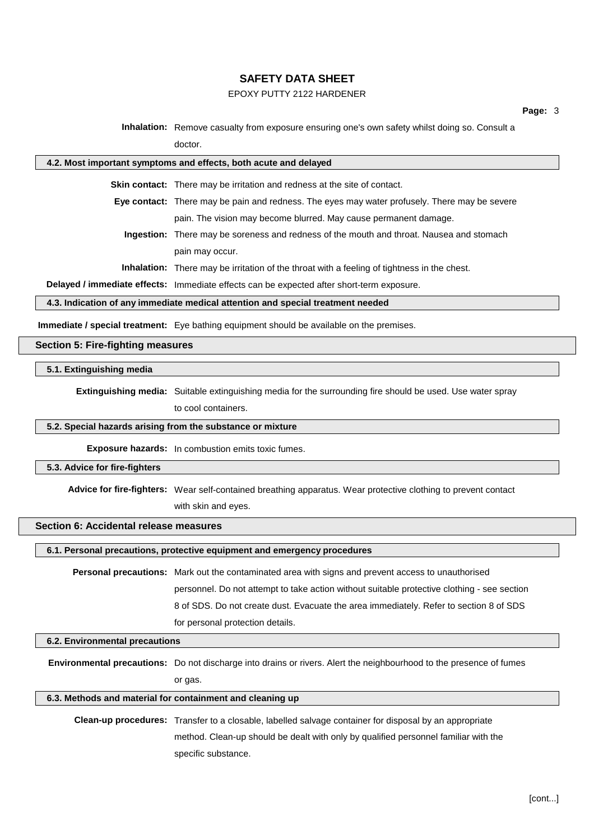## EPOXY PUTTY 2122 HARDENER

**Inhalation:** Remove casualty from exposure ensuring one's own safety whilst doing so. Consult a doctor.

| 4.2. Most important symptoms and effects, both acute and delayed                |                                                                                                      |  |  |  |  |
|---------------------------------------------------------------------------------|------------------------------------------------------------------------------------------------------|--|--|--|--|
|                                                                                 |                                                                                                      |  |  |  |  |
|                                                                                 | <b>Skin contact:</b> There may be irritation and redness at the site of contact.                     |  |  |  |  |
|                                                                                 | <b>Eye contact:</b> There may be pain and redness. The eyes may water profusely. There may be severe |  |  |  |  |
|                                                                                 | pain. The vision may become blurred. May cause permanent damage.                                     |  |  |  |  |
|                                                                                 | <b>Ingestion:</b> There may be soreness and redness of the mouth and throat. Nausea and stomach      |  |  |  |  |
|                                                                                 | pain may occur.                                                                                      |  |  |  |  |
|                                                                                 | <b>Inhalation:</b> There may be irritation of the throat with a feeling of tightness in the chest.   |  |  |  |  |
|                                                                                 | Delayed / immediate effects: Immediate effects can be expected after short-term exposure.            |  |  |  |  |
| 4.3. Indication of any immediate medical attention and special treatment needed |                                                                                                      |  |  |  |  |

**Immediate / special treatment:** Eye bathing equipment should be available on the premises.

#### **Section 5: Fire-fighting measures**

## **5.1. Extinguishing media**

**Extinguishing media:** Suitable extinguishing media for the surrounding fire should be used. Use water spray

to cool containers.

### **5.2. Special hazards arising from the substance or mixture**

**Exposure hazards:** In combustion emits toxic fumes.

#### **5.3. Advice for fire-fighters**

**Advice for fire-fighters:** Wear self-contained breathing apparatus. Wear protective clothing to prevent contact with skin and eyes.

### **Section 6: Accidental release measures**

| 6.1. Personal precautions, protective equipment and emergency procedures                    |                                                                                                           |  |  |  |  |
|---------------------------------------------------------------------------------------------|-----------------------------------------------------------------------------------------------------------|--|--|--|--|
|                                                                                             | <b>Personal precautions:</b> Mark out the contaminated area with signs and prevent access to unauthorised |  |  |  |  |
| personnel. Do not attempt to take action without suitable protective clothing - see section |                                                                                                           |  |  |  |  |
| 8 of SDS. Do not create dust. Evacuate the area immediately. Refer to section 8 of SDS      |                                                                                                           |  |  |  |  |
|                                                                                             | for personal protection details.                                                                          |  |  |  |  |

**6.2. Environmental precautions**

**Environmental precautions:** Do not discharge into drains or rivers. Alert the neighbourhood to the presence of fumes or gas.

## **6.3. Methods and material for containment and cleaning up**

**Clean-up procedures:** Transfer to a closable, labelled salvage container for disposal by an appropriate method. Clean-up should be dealt with only by qualified personnel familiar with the specific substance.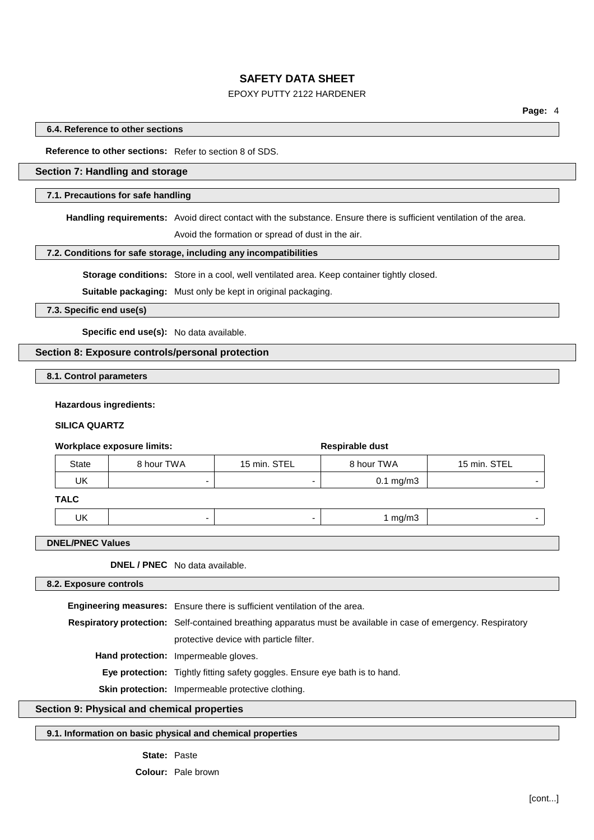## EPOXY PUTTY 2122 HARDENER

#### **6.4. Reference to other sections**

**Reference to other sections:** Refer to section 8 of SDS.

## **Section 7: Handling and storage**

#### **7.1. Precautions for safe handling**

**Handling requirements:** Avoid direct contact with the substance. Ensure there is sufficient ventilation of the area.

Avoid the formation or spread of dust in the air.

#### **7.2. Conditions for safe storage, including any incompatibilities**

**Storage conditions:** Store in a cool, well ventilated area. Keep container tightly closed.

**Suitable packaging:** Must only be kept in original packaging.

**7.3. Specific end use(s)**

**Specific end use(s):** No data available.

### **Section 8: Exposure controls/personal protection**

**8.1. Control parameters**

#### **Hazardous ingredients:**

#### **SILICA QUARTZ**

### **Workplace** exposure limits: **Respirable** dust

| State | 8 hour TWA | 15 min. STEL | 8 hour TWA           | 15 min. STEL |   |
|-------|------------|--------------|----------------------|--------------|---|
| UK    |            | -            | $0.1 \text{ mg/m}$ 3 |              | - |

#### **TALC**

| $\sim$ |  |  |
|--------|--|--|
|        |  |  |

**DNEL/PNEC Values**

**DNEL / PNEC** No data available.

#### **8.2. Exposure controls**

**Engineering measures:** Ensure there is sufficient ventilation of the area.

**Respiratory protection:** Self-contained breathing apparatus must be available in case of emergency. Respiratory protective device with particle filter.

**Hand protection:** Impermeable gloves.

**Eye protection:** Tightly fitting safety goggles. Ensure eye bath is to hand.

**Skin protection:** Impermeable protective clothing.

### **Section 9: Physical and chemical properties**

### **9.1. Information on basic physical and chemical properties**

**State:** Paste

**Colour:** Pale brown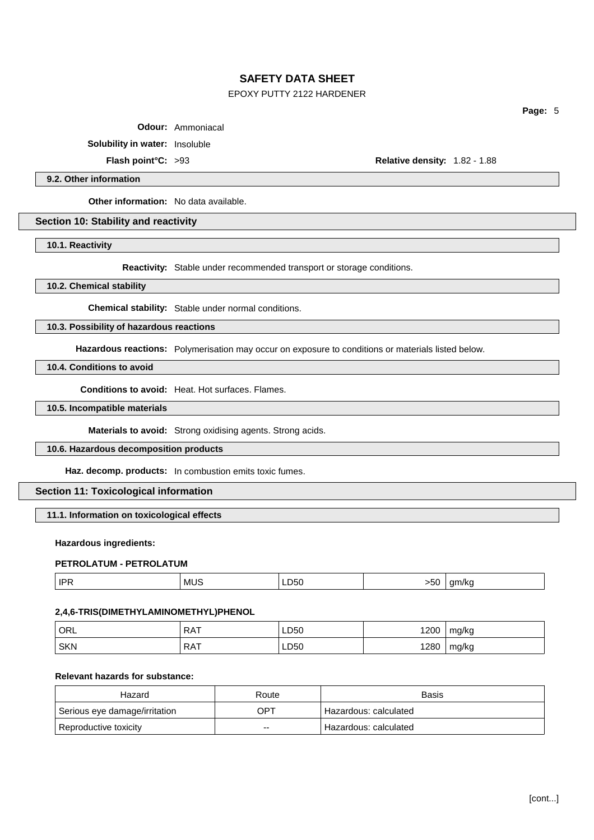## EPOXY PUTTY 2122 HARDENER

**Page:** 5

**Odour:** Ammoniacal

**Solubility in water:** Insoluble

**Flash point°C:** >93 **Relative density:** 1.82 - 1.88

**9.2. Other information**

**Other information:** No data available.

**Section 10: Stability and reactivity**

**10.1. Reactivity**

**Reactivity:** Stable under recommended transport or storage conditions.

**10.2. Chemical stability**

**Chemical stability:** Stable under normal conditions.

**10.3. Possibility of hazardous reactions**

**Hazardous reactions:** Polymerisation may occur on exposure to conditions or materials listed below.

**10.4. Conditions to avoid**

**Conditions to avoid:** Heat. Hot surfaces. Flames.

**10.5. Incompatible materials**

**Materials to avoid:** Strong oxidising agents. Strong acids.

**10.6. Hazardous decomposition products**

**Haz. decomp. products:** In combustion emits toxic fumes.

**Section 11: Toxicological information**

**11.1. Information on toxicological effects**

## **Hazardous ingredients:**

## **PETROLATUM - PETROLATUM**

| <b>IPR</b> | <b>MUS</b><br>$ -$ | LD50.<br>__ | $\sim$<br>טכי | am/ka |
|------------|--------------------|-------------|---------------|-------|
|            |                    |             |               |       |

### **2,4,6-TRIS(DIMETHYLAMINOMETHYL)PHENOL**

| ORL   | . RAT      | LD50 | 1200 | mg/kg |
|-------|------------|------|------|-------|
| ' SKN | <b>RAT</b> | LD50 | 1280 | mg/kg |

## **Relevant hazards for substance:**

| Hazard                        | Route | Basis                 |
|-------------------------------|-------|-----------------------|
| Serious eye damage/irritation | OPT   | Hazardous: calculated |
| Reproductive toxicity         | $- -$ | Hazardous: calculated |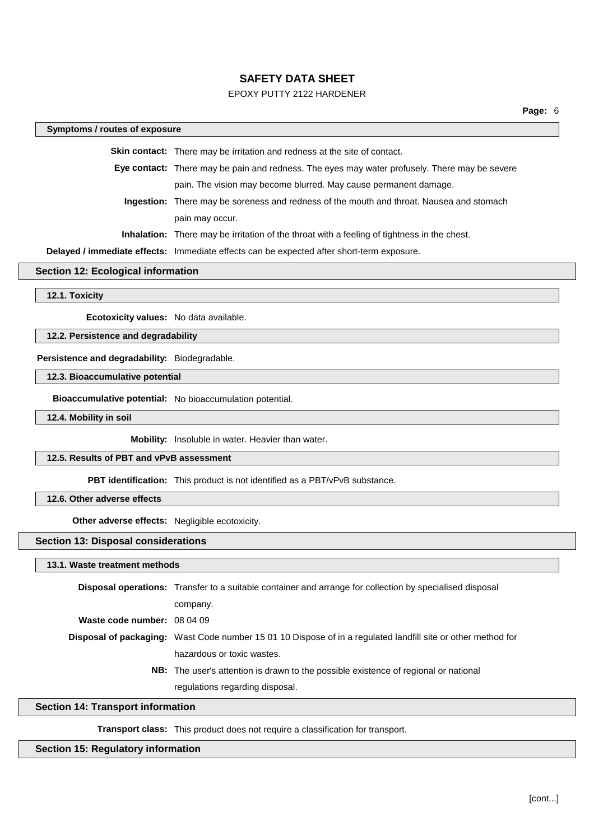## EPOXY PUTTY 2122 HARDENER

#### **Symptoms / routes of exposure**

**Skin contact:** There may be irritation and redness at the site of contact.

**Eye contact:** There may be pain and redness. The eyes may water profusely. There may be severe pain. The vision may become blurred. May cause permanent damage.

**Ingestion:** There may be soreness and redness of the mouth and throat. Nausea and stomach pain may occur.

**Inhalation:** There may be irritation of the throat with a feeling of tightness in the chest.

**Delayed / immediate effects:** Immediate effects can be expected after short-term exposure.

### **Section 12: Ecological information**

**12.1. Toxicity**

**Ecotoxicity values:** No data available.

**12.2. Persistence and degradability**

**Persistence and degradability:** Biodegradable.

**12.3. Bioaccumulative potential**

**Bioaccumulative potential:** No bioaccumulation potential.

**12.4. Mobility in soil**

**Mobility:** Insoluble in water. Heavier than water.

#### **12.5. Results of PBT and vPvB assessment**

**PBT identification:** This product is not identified as a PBT/vPvB substance.

### **12.6. Other adverse effects**

**Other adverse effects:** Negligible ecotoxicity.

**Section 13: Disposal considerations**

#### **13.1. Waste treatment methods**

|                             | <b>Disposal operations:</b> Transfer to a suitable container and arrange for collection by specialised disposal     |  |  |
|-----------------------------|---------------------------------------------------------------------------------------------------------------------|--|--|
|                             | company.                                                                                                            |  |  |
| Waste code number: 08 04 09 |                                                                                                                     |  |  |
|                             | <b>Disposal of packaging:</b> Wast Code number 15 01 10 Dispose of in a regulated landfill site or other method for |  |  |
|                             | hazardous or toxic wastes.                                                                                          |  |  |
|                             | <b>NB:</b> The user's attention is drawn to the possible existence of regional or national                          |  |  |
|                             | regulations regarding disposal.                                                                                     |  |  |

#### **Section 14: Transport information**

**Transport class:** This product does not require a classification for transport.

### **Section 15: Regulatory information**